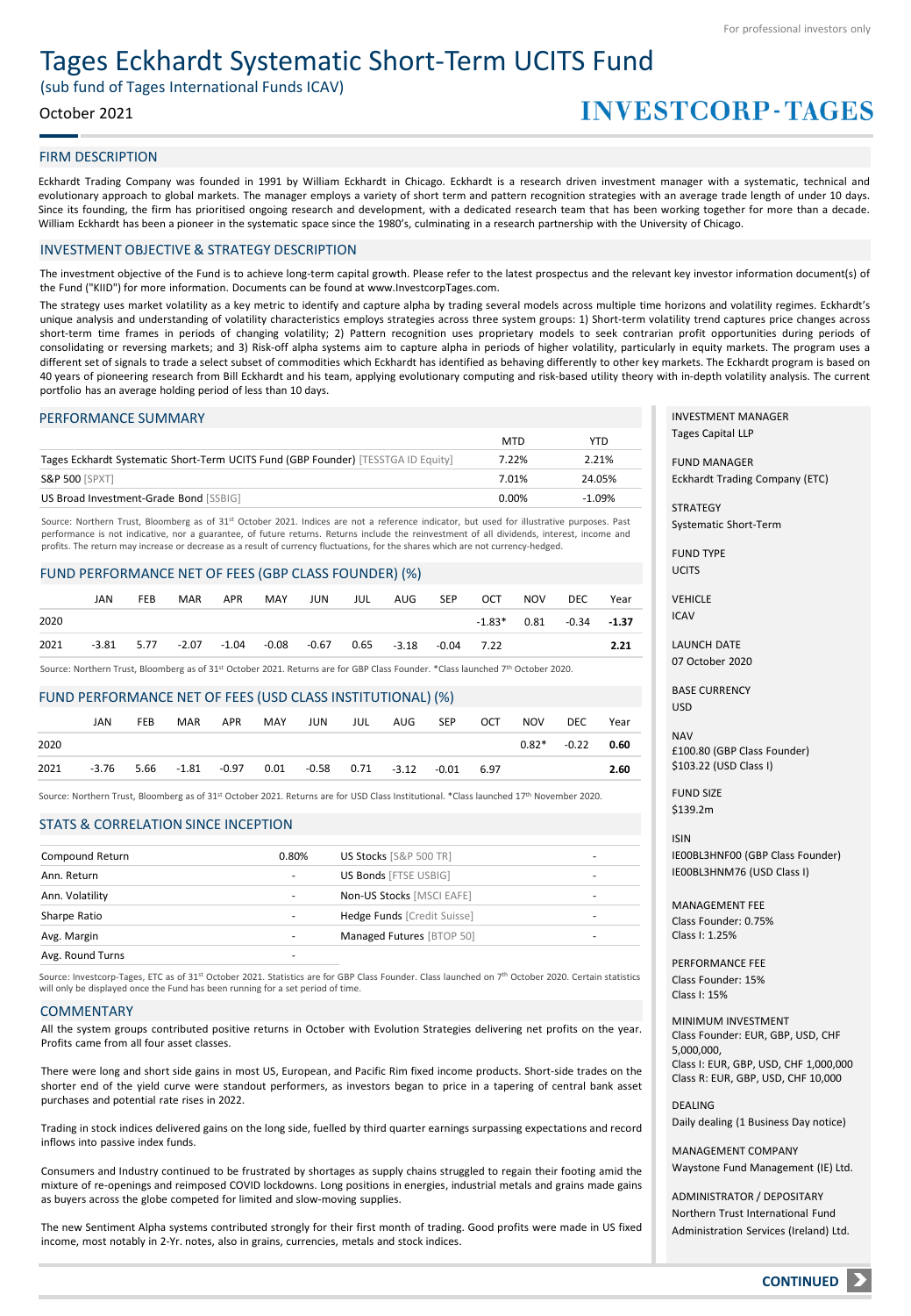# Tages Eckhardt Systematic Short-Term UCITS Fund

(sub fund of Tages International Funds ICAV)

## October 2021

# **INVESTCORP-TAGES**

### FIRM DESCRIPTION

Eckhardt Trading Company was founded in 1991 by William Eckhardt in Chicago. Eckhardt is a research driven investment manager with a systematic, technical and evolutionary approach to global markets. The manager employs a variety of short term and pattern recognition strategies with an average trade length of under 10 days. Since its founding, the firm has prioritised ongoing research and development, with a dedicated research team that has been working together for more than a decade. William Eckhardt has been a pioneer in the systematic space since the 1980's, culminating in a research partnership with the University of Chicago.

### INVESTMENT OBJECTIVE & STRATEGY DESCRIPTION

The investment objective of the Fund is to achieve long-term capital growth. Please refer to the latest prospectus and the relevant key investor information document(s) of the Fund ("KIID") for more information. Documents can be found at www.InvestcorpTages.com.

The strategy uses market volatility as a key metric to identify and capture alpha by trading several models across multiple time horizons and volatility regimes. Eckhardt's unique analysis and understanding of volatility characteristics employs strategies across three system groups: 1) Short-term volatility trend captures price changes across short-term time frames in periods of changing volatility; 2) Pattern recognition uses proprietary models to seek contrarian profit opportunities during periods of consolidating or reversing markets; and 3) Risk-off alpha systems aim to capture alpha in periods of higher volatility, particularly in equity markets. The program uses a different set of signals to trade a select subset of commodities which Eckhardt has identified as behaving differently to other key markets. The Eckhardt program is based on 40 years of pioneering research from Bill Eckhardt and his team, applying evolutionary computing and risk-based utility theory with in-depth volatility analysis. The current portfolio has an average holding period of less than 10 days.

#### PERFORMANCE SUMMARY

|                                                                                   | <b>MTD</b> | <b>YTD</b> |
|-----------------------------------------------------------------------------------|------------|------------|
| Tages Eckhardt Systematic Short-Term UCITS Fund (GBP Founder) [TESSTGA ID Equity] | 7.22%      | 2.21%      |
| <b>S&amp;P 500 [SPXT]</b>                                                         | 7.01%      | 24.05%     |
| US Broad Investment-Grade Bond [SSBIG]                                            | 0.00%      | $-1.09%$   |

Source: Northern Trust, Bloomberg as of 31st October 2021. Indices are not a reference indicator, but used for illustrative purposes. Past performance is not indicative, nor a guarantee, of future returns. Returns include the reinvestment of all dividends, interest, income and profits. The return may increase or decrease as a result of currency fluctuations, for the shares which are not currency-hedged.

### FUND PERFORMANCE NET OF FEES (GBP CLASS FOUNDER) (%)

|      | JAN | <b>FEB</b> | MAR | APR | MAY | JUN | JUL | AUG                                                                          | SEP | OCT | NOV | DEC                         | Year |
|------|-----|------------|-----|-----|-----|-----|-----|------------------------------------------------------------------------------|-----|-----|-----|-----------------------------|------|
| 2020 |     |            |     |     |     |     |     |                                                                              |     |     |     | $-1.83*$ 0.81 $-0.34$ -1.37 |      |
| 2021 |     |            |     |     |     |     |     | $-3.81$ $5.77$ $-2.07$ $-1.04$ $-0.08$ $-0.67$ $0.65$ $-3.18$ $-0.04$ $7.22$ |     |     |     |                             | 2.21 |

Source: Northern Trust, Bloomberg as of 31st October 2021. Returns are for GBP Class Founder. \*Class launched 7<sup>th</sup> October 2020.

#### FUND PERFORMANCE NET OF FEES (USD CLASS INSTITUTIONAL) (%)

|      | JAN | <b>FEB</b> | <b>MAR</b> | APR | MAY | JUN                                                                 | JUL | AUG SEP | OCT | NOV | DEC                 | Year |
|------|-----|------------|------------|-----|-----|---------------------------------------------------------------------|-----|---------|-----|-----|---------------------|------|
| 2020 |     |            |            |     |     |                                                                     |     |         |     |     | $0.82^*$ -0.22 0.60 |      |
| 2021 |     |            |            |     |     | $-3.76$ 5.66 $-1.81$ $-0.97$ 0.01 $-0.58$ 0.71 $-3.12$ $-0.01$ 6.97 |     |         |     |     |                     | 2.60 |

Source: Northern Trust, Bloomberg as of 31st October 2021. Returns are for USD Class Institutional. \*Class launched 17th November 2020.

### STATS & CORRELATION SINCE INCEPTION

| Compound Return  | 0.80% | US Stocks [S&P 500 TR]       |   |
|------------------|-------|------------------------------|---|
| Ann. Return      | ۰.    | <b>US Bonds [FTSE USBIG]</b> | - |
| Ann. Volatility  | ۰.    | Non-US Stocks [MSCI EAFE]    | - |
| Sharpe Ratio     |       | Hedge Funds [Credit Suisse]  | - |
| Avg. Margin      |       | Managed Futures [BTOP 50]    |   |
| Avg. Round Turns |       |                              |   |
|                  |       |                              |   |

Source: Investcorp-Tages, ETC as of 31st October 2021. Statistics are for GBP Class Founder. Class launched on 7<sup>th</sup> October 2020. Certain statistics will only be displayed once the Fund has been running for a set period of time.

#### COMMENTARY

All the system groups contributed positive returns in October with Evolution Strategies delivering net profits on the year. Profits came from all four asset classes.

There were long and short side gains in most US, European, and Pacific Rim fixed income products. Short-side trades on the shorter end of the yield curve were standout performers, as investors began to price in a tapering of central bank asset purchases and potential rate rises in 2022.

Trading in stock indices delivered gains on the long side, fuelled by third quarter earnings surpassing expectations and record inflows into passive index funds.

Consumers and Industry continued to be frustrated by shortages as supply chains struggled to regain their footing amid the mixture of re-openings and reimposed COVID lockdowns. Long positions in energies, industrial metals and grains made gains as buyers across the globe competed for limited and slow-moving supplies.

The new Sentiment Alpha systems contributed strongly for their first month of trading. Good profits were made in US fixed income, most notably in 2-Yr. notes, also in grains, currencies, metals and stock indices.

INVESTMENT MANAGER Tages Capital LLP

FUND MANAGER Eckhardt Trading Company (ETC)

**STRATEGY** Systematic Short-Term

FUND TYPE UCITS

**VEHICLE** 

ICAV

LAUNCH DATE 07 October 2020

BASE CURRENCY USD

NAV £100.80 (GBP Class Founder) \$103.22 (USD Class I)

FUND SIZE \$139.2m

ISIN IE00BL3HNF00 (GBP Class Founder) IE00BL3HNM76 (USD Class I)

MANAGEMENT FEE Class Founder: 0.75% Class I: 1.25%

PERFORMANCE FEE Class Founder: 15% Class I: 15%

MINIMUM INVESTMENT Class Founder: EUR, GBP, USD, CHF 5,000,000, Class I: EUR, GBP, USD, CHF 1,000,000 Class R: EUR, GBP, USD, CHF 10,000

DEALING Daily dealing (1 Business Day notice)

MANAGEMENT COMPANY Waystone Fund Management (IE) Ltd.

ADMINISTRATOR / DEPOSITARY Northern Trust International Fund Administration Services (Ireland) Ltd.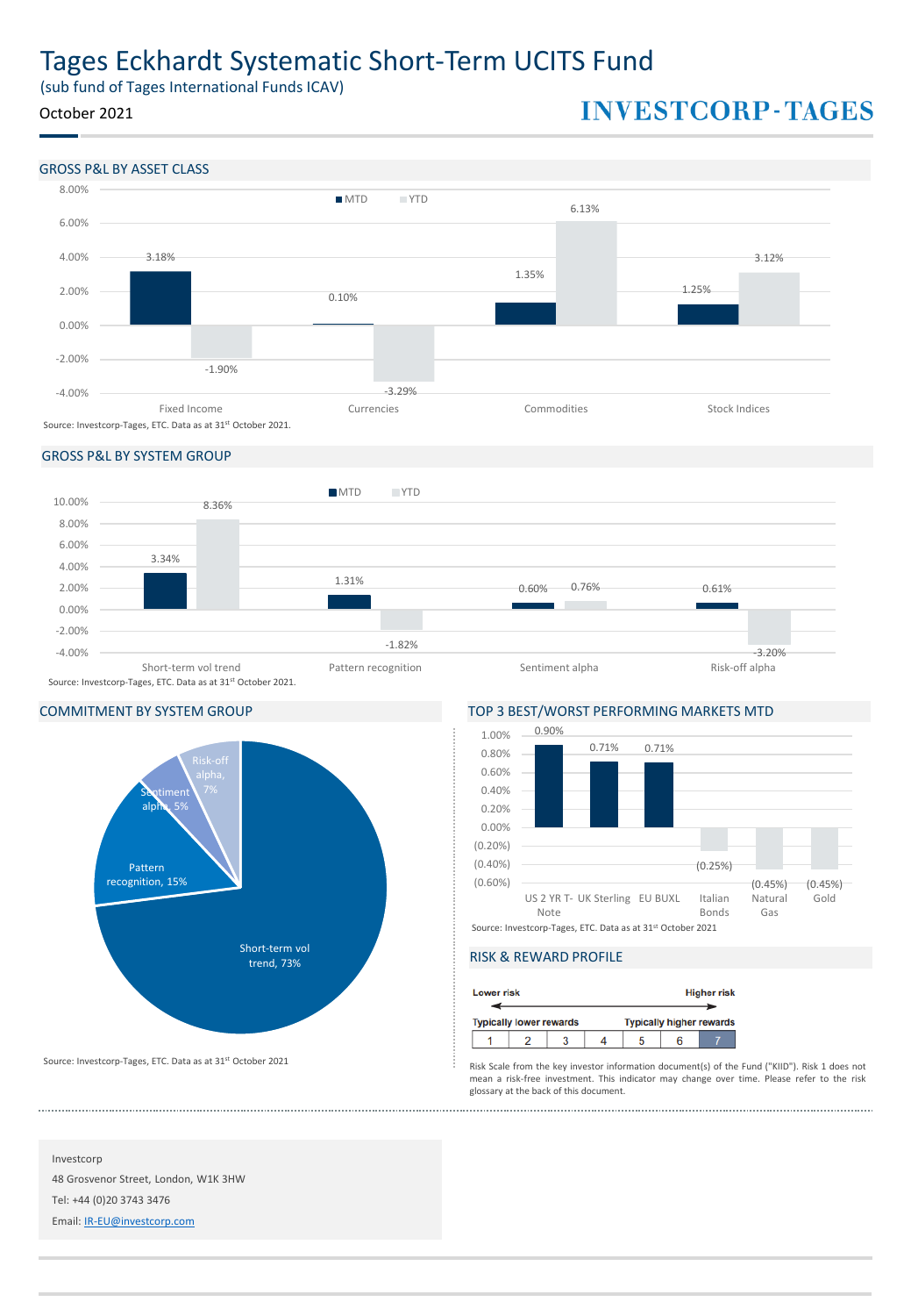# Tages Eckhardt Systematic Short-Term UCITS Fund

(sub fund of Tages International Funds ICAV)

# October 2021

# **INVESTCORP-TAGES**



# GROSS P&L BY SYSTEM GROUP



# COMMITMENT BY SYSTEM GROUP TOP 3 BEST/WORST PERFORMING MARKETS MTD



0.90% 1.00%



# RISK & REWARD PROFILE

| <b>Lower risk</b> |                                |  |                                 | <b>Higher risk</b> |
|-------------------|--------------------------------|--|---------------------------------|--------------------|
|                   | <b>Typically lower rewards</b> |  | <b>Typically higher rewards</b> |                    |
|                   |                                |  |                                 |                    |

Risk Scale from the key investor information document(s) of the Fund ("KIID"). Risk 1 does not mean a risk-free investment. This indicator may change over time. Please refer to the risk glossary at the back of this document.

Source: Investcorp-Tages, ETC. Data as at 31st October 2021

Investcorp 48 Grosvenor Street, London, W1K 3HW Tel: +44 (0)20 3743 3476 Email: [IR-EU@investcorp.com](mailto:IR-EU@investcorp.com)